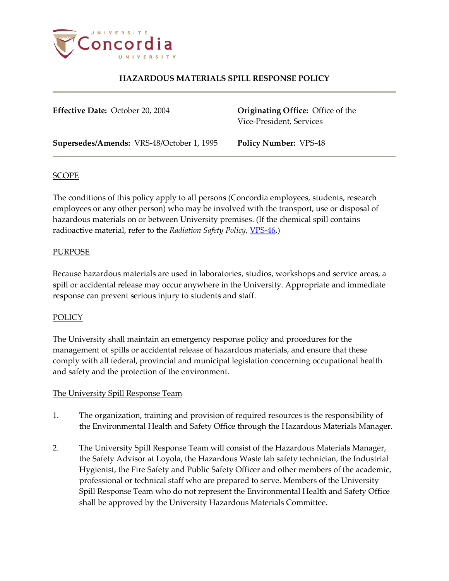

**Effective Date:** October 20, 2004 **Originating Office:** Office of the Vice-President, Services

**Supersedes/Amends:** VRS-48/October 1, 1995 **Policy Number:** VPS-48

## SCOPE

The conditions of this policy apply to all persons (Concordia employees, students, research employees or any other person) who may be involved with the transport, use or disposal of hazardous materials on or between University premises. (If the chemical spill contains radioactive material, refer to the *Radiation Safety Policy*, **[VPS-46](http://www.concordia.ca/vpirsg/documents/policies/VPS-46.pdf)**.)

## PURPOSE

Because hazardous materials are used in laboratories, studios, workshops and service areas, a spill or accidental release may occur anywhere in the University. Appropriate and immediate response can prevent serious injury to students and staff.

## POLICY

The University shall maintain an emergency response policy and procedures for the management of spills or accidental release of hazardous materials, and ensure that these comply with all federal, provincial and municipal legislation concerning occupational health and safety and the protection of the environment.

#### The University Spill Response Team

- 1. The organization, training and provision of required resources is the responsibility of the Environmental Health and Safety Office through the Hazardous Materials Manager.
- 2. The University Spill Response Team will consist of the Hazardous Materials Manager, the Safety Advisor at Loyola, the Hazardous Waste lab safety technician, the Industrial Hygienist, the Fire Safety and Public Safety Officer and other members of the academic, professional or technical staff who are prepared to serve. Members of the University Spill Response Team who do not represent the Environmental Health and Safety Office shall be approved by the University Hazardous Materials Committee.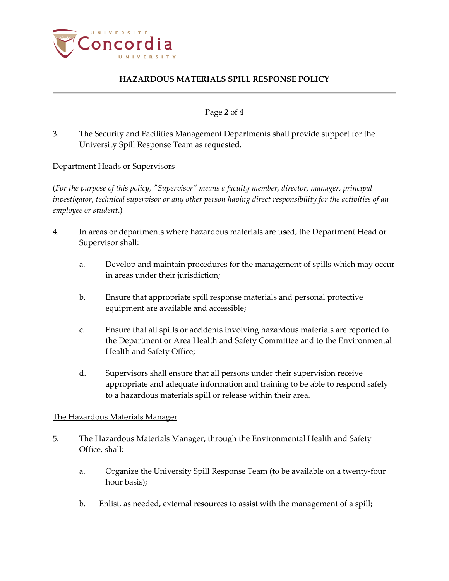

### Page **2** of **4**

3. The Security and Facilities Management Departments shall provide support for the University Spill Response Team as requested.

## Department Heads or Supervisors

(*For the purpose of this policy, "Supervisor" means a faculty member, director, manager, principal investigator, technical supervisor or any other person having direct responsibility for the activities of an employee or student*.)

- 4. In areas or departments where hazardous materials are used, the Department Head or Supervisor shall:
	- a. Develop and maintain procedures for the management of spills which may occur in areas under their jurisdiction;
	- b. Ensure that appropriate spill response materials and personal protective equipment are available and accessible;
	- c. Ensure that all spills or accidents involving hazardous materials are reported to the Department or Area Health and Safety Committee and to the Environmental Health and Safety Office;
	- d. Supervisors shall ensure that all persons under their supervision receive appropriate and adequate information and training to be able to respond safely to a hazardous materials spill or release within their area.

#### The Hazardous Materials Manager

- 5. The Hazardous Materials Manager, through the Environmental Health and Safety Office, shall:
	- a. Organize the University Spill Response Team (to be available on a twenty-four hour basis);
	- b. Enlist, as needed, external resources to assist with the management of a spill;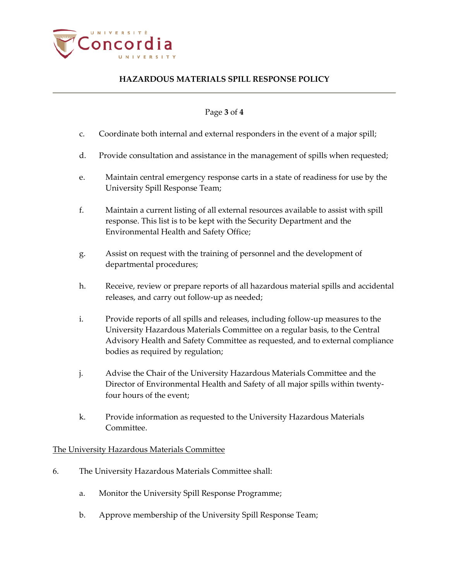

### Page **3** of **4**

- c. Coordinate both internal and external responders in the event of a major spill;
- d. Provide consultation and assistance in the management of spills when requested;
- e. Maintain central emergency response carts in a state of readiness for use by the University Spill Response Team;
- f. Maintain a current listing of all external resources available to assist with spill response. This list is to be kept with the Security Department and the Environmental Health and Safety Office;
- g. Assist on request with the training of personnel and the development of departmental procedures;
- h. Receive, review or prepare reports of all hazardous material spills and accidental releases, and carry out follow-up as needed;
- i. Provide reports of all spills and releases, including follow-up measures to the University Hazardous Materials Committee on a regular basis, to the Central Advisory Health and Safety Committee as requested, and to external compliance bodies as required by regulation;
- j. Advise the Chair of the University Hazardous Materials Committee and the Director of Environmental Health and Safety of all major spills within twentyfour hours of the event;
- k. Provide information as requested to the University Hazardous Materials Committee.

#### The University Hazardous Materials Committee

- 6. The University Hazardous Materials Committee shall:
	- a. Monitor the University Spill Response Programme;
	- b. Approve membership of the University Spill Response Team;